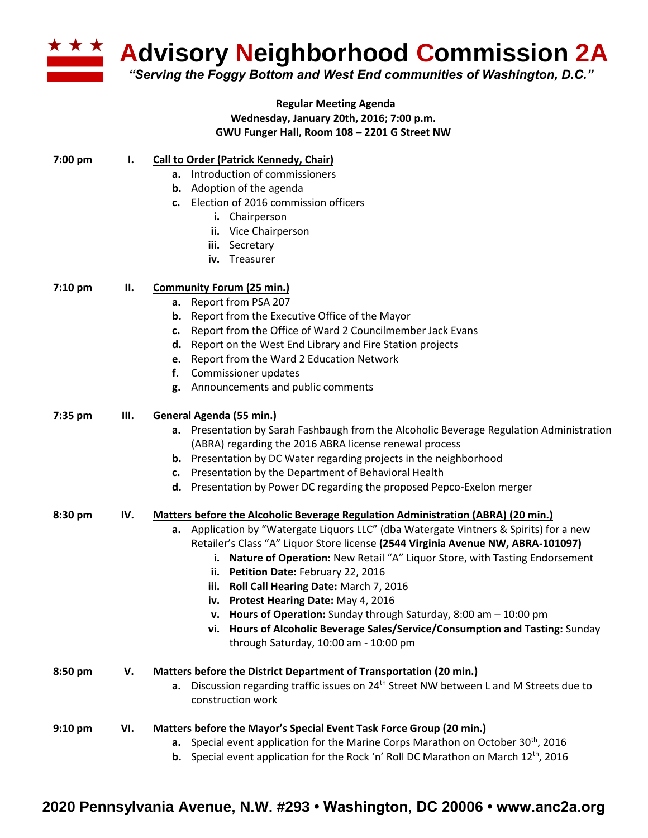

**Advisory Neighborhood Commission 2A**

*"Serving the Foggy Bottom and West End communities of Washington, D.C."*

|           |     | <b>Regular Meeting Agenda</b>                                                                          |
|-----------|-----|--------------------------------------------------------------------------------------------------------|
|           |     | Wednesday, January 20th, 2016; 7:00 p.m.                                                               |
|           |     | GWU Funger Hall, Room 108 - 2201 G Street NW                                                           |
| 7:00 pm   | ı.  | <b>Call to Order (Patrick Kennedy, Chair)</b>                                                          |
|           |     | a. Introduction of commissioners                                                                       |
|           |     | Adoption of the agenda<br>b.                                                                           |
|           |     | Election of 2016 commission officers<br>c.                                                             |
|           |     | i. Chairperson                                                                                         |
|           |     | ii. Vice Chairperson                                                                                   |
|           |     | iii. Secretary                                                                                         |
|           |     | iv. Treasurer                                                                                          |
| 7:10 pm   | Н.  | <b>Community Forum (25 min.)</b>                                                                       |
|           |     | Report from PSA 207<br>а.                                                                              |
|           |     | Report from the Executive Office of the Mayor<br>b.                                                    |
|           |     | Report from the Office of Ward 2 Councilmember Jack Evans<br>c.                                        |
|           |     | Report on the West End Library and Fire Station projects<br>d.                                         |
|           |     | Report from the Ward 2 Education Network<br>e.                                                         |
|           |     | Commissioner updates<br>f.                                                                             |
|           |     | Announcements and public comments<br>g.                                                                |
| 7:35 pm   | Ш.  | General Agenda (55 min.)                                                                               |
|           |     | a. Presentation by Sarah Fashbaugh from the Alcoholic Beverage Regulation Administration               |
|           |     | (ABRA) regarding the 2016 ABRA license renewal process                                                 |
|           |     | <b>b.</b> Presentation by DC Water regarding projects in the neighborhood                              |
|           |     | Presentation by the Department of Behavioral Health<br>c.                                              |
|           |     | d. Presentation by Power DC regarding the proposed Pepco-Exelon merger                                 |
| 8:30 pm   | IV. | Matters before the Alcoholic Beverage Regulation Administration (ABRA) (20 min.)                       |
|           |     | a. Application by "Watergate Liquors LLC" (dba Watergate Vintners & Spirits) for a new                 |
|           |     | Retailer's Class "A" Liquor Store license (2544 Virginia Avenue NW, ABRA-101097)                       |
|           |     | i. Nature of Operation: New Retail "A" Liquor Store, with Tasting Endorsement                          |
|           |     | Petition Date: February 22, 2016<br>н.                                                                 |
|           |     | iii. Roll Call Hearing Date: March 7, 2016                                                             |
|           |     | iv. Protest Hearing Date: May 4, 2016                                                                  |
|           |     | v. Hours of Operation: Sunday through Saturday, $8:00$ am $-10:00$ pm                                  |
|           |     | vi. Hours of Alcoholic Beverage Sales/Service/Consumption and Tasting: Sunday                          |
|           |     | through Saturday, 10:00 am - 10:00 pm                                                                  |
| 8:50 pm   | V.  | <b>Matters before the District Department of Transportation (20 min.)</b>                              |
|           |     | Discussion regarding traffic issues on 24 <sup>th</sup> Street NW between L and M Streets due to<br>а. |
|           |     | construction work                                                                                      |
| $9:10$ pm | VI. | <b>Matters before the Mayor's Special Event Task Force Group (20 min.)</b>                             |
|           |     | Special event application for the Marine Corps Marathon on October 30 <sup>th</sup> , 2016<br>a.       |
|           |     | Special event application for the Rock 'n' Roll DC Marathon on March 12 <sup>th</sup> , 2016<br>b.     |